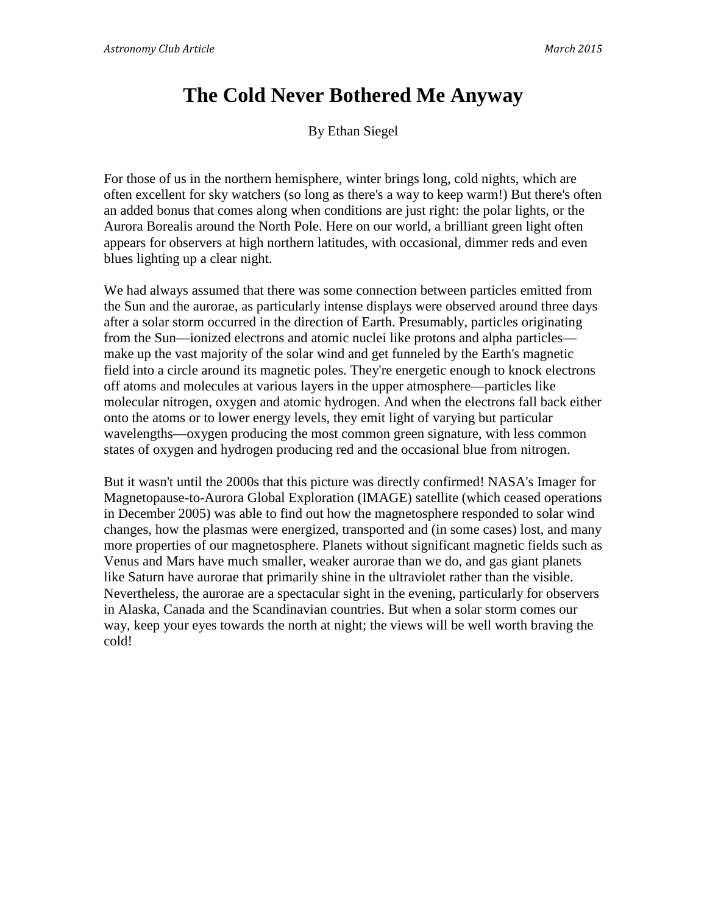## **The Cold Never Bothered Me Anyway**

By Ethan Siegel

For those of us in the northern hemisphere, winter brings long, cold nights, which are often excellent for sky watchers (so long as there's a way to keep warm!) But there's often an added bonus that comes along when conditions are just right: the polar lights, or the Aurora Borealis around the North Pole. Here on our world, a brilliant green light often appears for observers at high northern latitudes, with occasional, dimmer reds and even blues lighting up a clear night.

We had always assumed that there was some connection between particles emitted from the Sun and the aurorae, as particularly intense displays were observed around three days after a solar storm occurred in the direction of Earth. Presumably, particles originating from the Sun—ionized electrons and atomic nuclei like protons and alpha particles make up the vast majority of the solar wind and get funneled by the Earth's magnetic field into a circle around its magnetic poles. They're energetic enough to knock electrons off atoms and molecules at various layers in the upper atmosphere—particles like molecular nitrogen, oxygen and atomic hydrogen. And when the electrons fall back either onto the atoms or to lower energy levels, they emit light of varying but particular wavelengths—oxygen producing the most common green signature, with less common states of oxygen and hydrogen producing red and the occasional blue from nitrogen.

But it wasn't until the 2000s that this picture was directly confirmed! NASA's Imager for Magnetopause-to-Aurora Global Exploration (IMAGE) satellite (which ceased operations in December 2005) was able to find out how the magnetosphere responded to solar wind changes, how the plasmas were energized, transported and (in some cases) lost, and many more properties of our magnetosphere. Planets without significant magnetic fields such as Venus and Mars have much smaller, weaker aurorae than we do, and gas giant planets like Saturn have aurorae that primarily shine in the ultraviolet rather than the visible. Nevertheless, the aurorae are a spectacular sight in the evening, particularly for observers in Alaska, Canada and the Scandinavian countries. But when a solar storm comes our way, keep your eyes towards the north at night; the views will be well worth braving the cold!